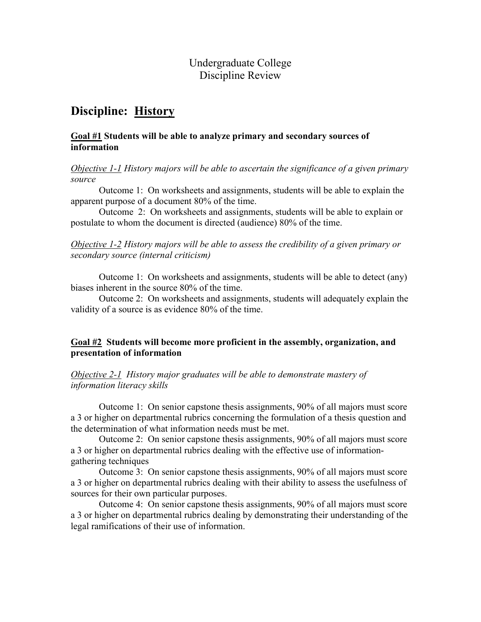### Undergraduate College Discipline Review

# Discipline: History

### Goal #1 Students will be able to analyze primary and secondary sources of information

### Objective 1-1 History majors will be able to ascertain the significance of a given primary source

 Outcome 1: On worksheets and assignments, students will be able to explain the apparent purpose of a document 80% of the time.

 Outcome 2: On worksheets and assignments, students will be able to explain or postulate to whom the document is directed (audience) 80% of the time.

Objective 1-2 History majors will be able to assess the credibility of a given primary or secondary source (internal criticism)

 Outcome 1: On worksheets and assignments, students will be able to detect (any) biases inherent in the source 80% of the time.

 Outcome 2: On worksheets and assignments, students will adequately explain the validity of a source is as evidence 80% of the time.

### Goal #2 Students will become more proficient in the assembly, organization, and presentation of information

Objective 2-1 History major graduates will be able to demonstrate mastery of information literacy skills

 Outcome 1: On senior capstone thesis assignments, 90% of all majors must score a 3 or higher on departmental rubrics concerning the formulation of a thesis question and the determination of what information needs must be met.

Outcome 2: On senior capstone thesis assignments, 90% of all majors must score a 3 or higher on departmental rubrics dealing with the effective use of informationgathering techniques

Outcome 3: On senior capstone thesis assignments, 90% of all majors must score a 3 or higher on departmental rubrics dealing with their ability to assess the usefulness of sources for their own particular purposes.

Outcome 4: On senior capstone thesis assignments, 90% of all majors must score a 3 or higher on departmental rubrics dealing by demonstrating their understanding of the legal ramifications of their use of information.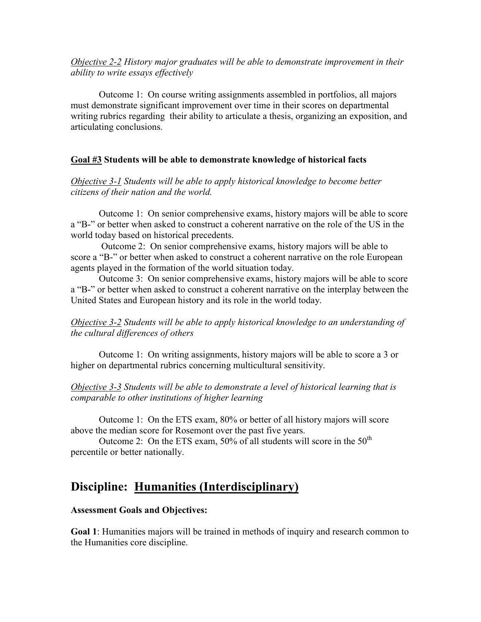Objective 2-2 History major graduates will be able to demonstrate improvement in their ability to write essays effectively

 Outcome 1: On course writing assignments assembled in portfolios, all majors must demonstrate significant improvement over time in their scores on departmental writing rubrics regarding their ability to articulate a thesis, organizing an exposition, and articulating conclusions.

### Goal #3 Students will be able to demonstrate knowledge of historical facts

Objective 3-1 Students will be able to apply historical knowledge to become better citizens of their nation and the world.

 Outcome 1: On senior comprehensive exams, history majors will be able to score a "B-" or better when asked to construct a coherent narrative on the role of the US in the world today based on historical precedents.

 Outcome 2: On senior comprehensive exams, history majors will be able to score a "B-" or better when asked to construct a coherent narrative on the role European agents played in the formation of the world situation today.

 Outcome 3: On senior comprehensive exams, history majors will be able to score a "B-" or better when asked to construct a coherent narrative on the interplay between the United States and European history and its role in the world today.

Objective 3-2 Students will be able to apply historical knowledge to an understanding of the cultural differences of others

 Outcome 1: On writing assignments, history majors will be able to score a 3 or higher on departmental rubrics concerning multicultural sensitivity.

Objective 3-3 Students will be able to demonstrate a level of historical learning that is comparable to other institutions of higher learning

 Outcome 1: On the ETS exam, 80% or better of all history majors will score above the median score for Rosemont over the past five years.

Outcome 2: On the ETS exam,  $50\%$  of all students will score in the  $50<sup>th</sup>$ percentile or better nationally.

# Discipline: Humanities (Interdisciplinary)

### Assessment Goals and Objectives:

Goal 1: Humanities majors will be trained in methods of inquiry and research common to the Humanities core discipline.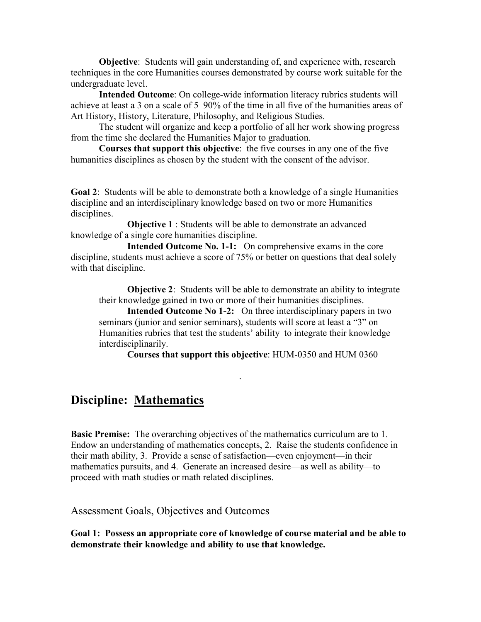Objective: Students will gain understanding of, and experience with, research techniques in the core Humanities courses demonstrated by course work suitable for the undergraduate level.

Intended Outcome: On college-wide information literacy rubrics students will achieve at least a 3 on a scale of 5 90% of the time in all five of the humanities areas of Art History, History, Literature, Philosophy, and Religious Studies.

The student will organize and keep a portfolio of all her work showing progress from the time she declared the Humanities Major to graduation.

Courses that support this objective: the five courses in any one of the five humanities disciplines as chosen by the student with the consent of the advisor.

Goal 2: Students will be able to demonstrate both a knowledge of a single Humanities discipline and an interdisciplinary knowledge based on two or more Humanities disciplines.

 Objective 1 : Students will be able to demonstrate an advanced knowledge of a single core humanities discipline.

 Intended Outcome No. 1-1: On comprehensive exams in the core discipline, students must achieve a score of 75% or better on questions that deal solely with that discipline.

**Objective 2:** Students will be able to demonstrate an ability to integrate their knowledge gained in two or more of their humanities disciplines.

Intended Outcome No 1-2: On three interdisciplinary papers in two seminars (junior and senior seminars), students will score at least a "3" on Humanities rubrics that test the students' ability to integrate their knowledge interdisciplinarily.

.

Courses that support this objective: HUM-0350 and HUM 0360

# Discipline: Mathematics

Basic Premise: The overarching objectives of the mathematics curriculum are to 1. Endow an understanding of mathematics concepts, 2. Raise the students confidence in their math ability, 3. Provide a sense of satisfaction—even enjoyment—in their mathematics pursuits, and 4. Generate an increased desire—as well as ability—to proceed with math studies or math related disciplines.

### Assessment Goals, Objectives and Outcomes

Goal 1: Possess an appropriate core of knowledge of course material and be able to demonstrate their knowledge and ability to use that knowledge.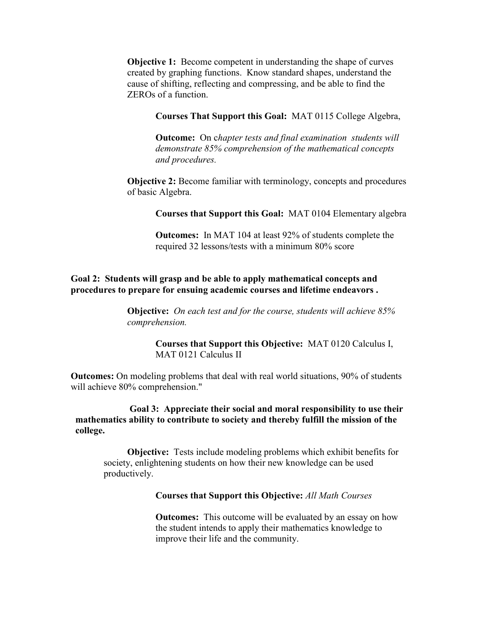**Objective 1:** Become competent in understanding the shape of curves created by graphing functions. Know standard shapes, understand the cause of shifting, reflecting and compressing, and be able to find the ZEROs of a function.

#### Courses That Support this Goal: MAT 0115 College Algebra,

**Outcome:** On chapter tests and final examination students will demonstrate 85% comprehension of the mathematical concepts and procedures.

Objective 2: Become familiar with terminology, concepts and procedures of basic Algebra.

Courses that Support this Goal: MAT 0104 Elementary algebra

Outcomes: In MAT 104 at least 92% of students complete the required 32 lessons/tests with a minimum 80% score

#### Goal 2: Students will grasp and be able to apply mathematical concepts and procedures to prepare for ensuing academic courses and lifetime endeavors .

**Objective:** On each test and for the course, students will achieve 85% comprehension.

> Courses that Support this Objective: MAT 0120 Calculus I, MAT 0121 Calculus II

Outcomes: On modeling problems that deal with real world situations, 90% of students will achieve 80% comprehension."

### Goal 3: Appreciate their social and moral responsibility to use their mathematics ability to contribute to society and thereby fulfill the mission of the college.

Objective: Tests include modeling problems which exhibit benefits for society, enlightening students on how their new knowledge can be used productively.

#### Courses that Support this Objective: All Math Courses

**Outcomes:** This outcome will be evaluated by an essay on how the student intends to apply their mathematics knowledge to improve their life and the community.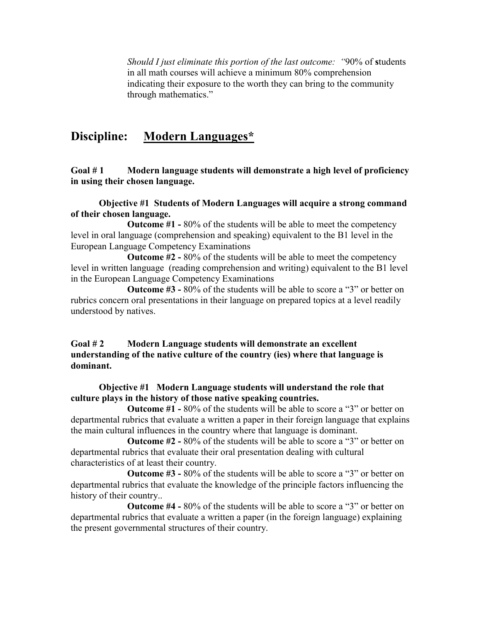Should I just eliminate this portion of the last outcome: "90% of students in all math courses will achieve a minimum 80% comprehension indicating their exposure to the worth they can bring to the community through mathematics."

# Discipline: Modern Languages\*

Goal #1 Modern language students will demonstrate a high level of proficiency in using their chosen language.

### Objective #1 Students of Modern Languages will acquire a strong command of their chosen language.

 Outcome #1 - 80% of the students will be able to meet the competency level in oral language (comprehension and speaking) equivalent to the B1 level in the European Language Competency Examinations

 Outcome #2 - 80% of the students will be able to meet the competency level in written language (reading comprehension and writing) equivalent to the B1 level in the European Language Competency Examinations

 Outcome #3 - 80% of the students will be able to score a "3" or better on rubrics concern oral presentations in their language on prepared topics at a level readily understood by natives.

### Goal #2 Modern Language students will demonstrate an excellent understanding of the native culture of the country (ies) where that language is dominant.

### Objective #1 Modern Language students will understand the role that culture plays in the history of those native speaking countries.

Outcome #1 - 80% of the students will be able to score a "3" or better on departmental rubrics that evaluate a written a paper in their foreign language that explains the main cultural influences in the country where that language is dominant.

 Outcome #2 - 80% of the students will be able to score a "3" or better on departmental rubrics that evaluate their oral presentation dealing with cultural characteristics of at least their country.

 Outcome #3 - 80% of the students will be able to score a "3" or better on departmental rubrics that evaluate the knowledge of the principle factors influencing the history of their country..

 Outcome #4 - 80% of the students will be able to score a "3" or better on departmental rubrics that evaluate a written a paper (in the foreign language) explaining the present governmental structures of their country.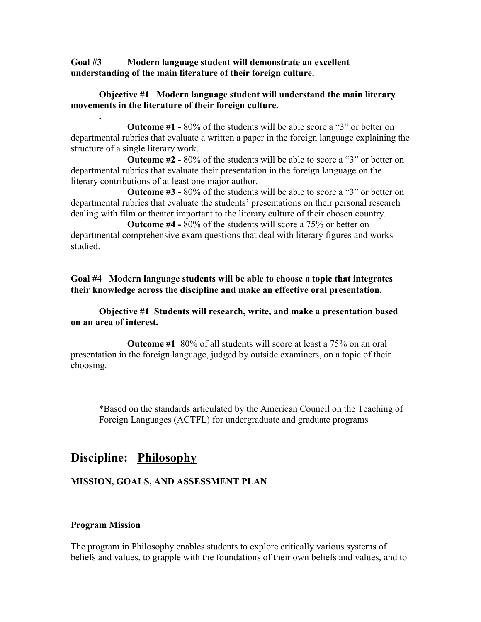Goal #3 Modern language student will demonstrate an excellent understanding of the main literature of their foreign culture.

#### Objective #1 Modern language student will understand the main literary movements in the literature of their foreign culture.

Outcome #1 - 80% of the students will be able score a "3" or better on departmental rubrics that evaluate a written a paper in the foreign language explaining the structure of a single literary work.

 Outcome #2 - 80% of the students will be able to score a "3" or better on departmental rubrics that evaluate their presentation in the foreign language on the literary contributions of at least one major author.

 Outcome #3 - 80% of the students will be able to score a "3" or better on departmental rubrics that evaluate the students' presentations on their personal research dealing with film or theater important to the literary culture of their chosen country.

 Outcome #4 - 80% of the students will score a 75% or better on departmental comprehensive exam questions that deal with literary figures and works studied.

Goal #4 Modern language students will be able to choose a topic that integrates their knowledge across the discipline and make an effective oral presentation.

### Objective #1 Students will research, write, and make a presentation based on an area of interest.

 Outcome #1 80% of all students will score at least a 75% on an oral presentation in the foreign language, judged by outside examiners, on a topic of their choosing.

\*Based on the standards articulated by the American Council on the Teaching of Foreign Languages (ACTFL) for undergraduate and graduate programs

# Discipline: Philosophy

### MISSION, GOALS, AND ASSESSMENT PLAN

#### Program Mission

.

The program in Philosophy enables students to explore critically various systems of beliefs and values, to grapple with the foundations of their own beliefs and values, and to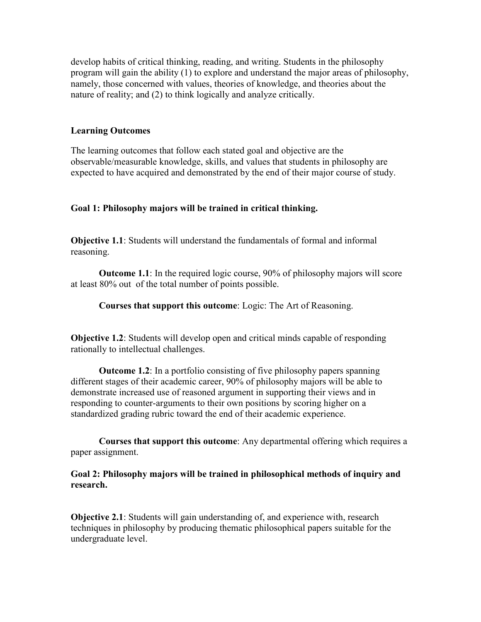develop habits of critical thinking, reading, and writing. Students in the philosophy program will gain the ability (1) to explore and understand the major areas of philosophy, namely, those concerned with values, theories of knowledge, and theories about the nature of reality; and (2) to think logically and analyze critically.

#### Learning Outcomes

The learning outcomes that follow each stated goal and objective are the observable/measurable knowledge, skills, and values that students in philosophy are expected to have acquired and demonstrated by the end of their major course of study.

#### Goal 1: Philosophy majors will be trained in critical thinking.

Objective 1.1: Students will understand the fundamentals of formal and informal reasoning.

 Outcome 1.1: In the required logic course, 90% of philosophy majors will score at least 80% out of the total number of points possible.

Courses that support this outcome: Logic: The Art of Reasoning.

Objective 1.2: Students will develop open and critical minds capable of responding rationally to intellectual challenges.

 Outcome 1.2: In a portfolio consisting of five philosophy papers spanning different stages of their academic career, 90% of philosophy majors will be able to demonstrate increased use of reasoned argument in supporting their views and in responding to counter-arguments to their own positions by scoring higher on a standardized grading rubric toward the end of their academic experience.

 Courses that support this outcome: Any departmental offering which requires a paper assignment.

#### Goal 2: Philosophy majors will be trained in philosophical methods of inquiry and research.

Objective 2.1: Students will gain understanding of, and experience with, research techniques in philosophy by producing thematic philosophical papers suitable for the undergraduate level.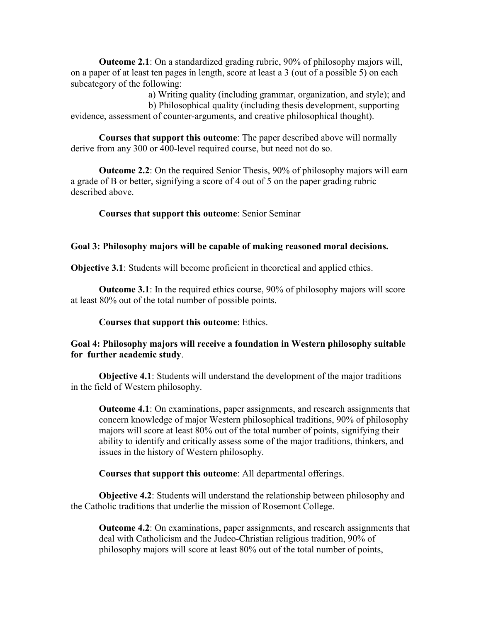Outcome 2.1: On a standardized grading rubric, 90% of philosophy majors will, on a paper of at least ten pages in length, score at least a 3 (out of a possible 5) on each subcategory of the following:

 a) Writing quality (including grammar, organization, and style); and b) Philosophical quality (including thesis development, supporting evidence, assessment of counter-arguments, and creative philosophical thought).

 Courses that support this outcome: The paper described above will normally derive from any 300 or 400-level required course, but need not do so.

Outcome 2.2: On the required Senior Thesis, 90% of philosophy majors will earn a grade of B or better, signifying a score of 4 out of 5 on the paper grading rubric described above.

Courses that support this outcome: Senior Seminar

### Goal 3: Philosophy majors will be capable of making reasoned moral decisions.

Objective 3.1: Students will become proficient in theoretical and applied ethics.

 Outcome 3.1: In the required ethics course, 90% of philosophy majors will score at least 80% out of the total number of possible points.

Courses that support this outcome: Ethics.

### Goal 4: Philosophy majors will receive a foundation in Western philosophy suitable for further academic study.

 Objective 4.1: Students will understand the development of the major traditions in the field of Western philosophy.

Outcome 4.1: On examinations, paper assignments, and research assignments that concern knowledge of major Western philosophical traditions, 90% of philosophy majors will score at least 80% out of the total number of points, signifying their ability to identify and critically assess some of the major traditions, thinkers, and issues in the history of Western philosophy.

Courses that support this outcome: All departmental offerings.

 Objective 4.2: Students will understand the relationship between philosophy and the Catholic traditions that underlie the mission of Rosemont College.

Outcome 4.2: On examinations, paper assignments, and research assignments that deal with Catholicism and the Judeo-Christian religious tradition, 90% of philosophy majors will score at least 80% out of the total number of points,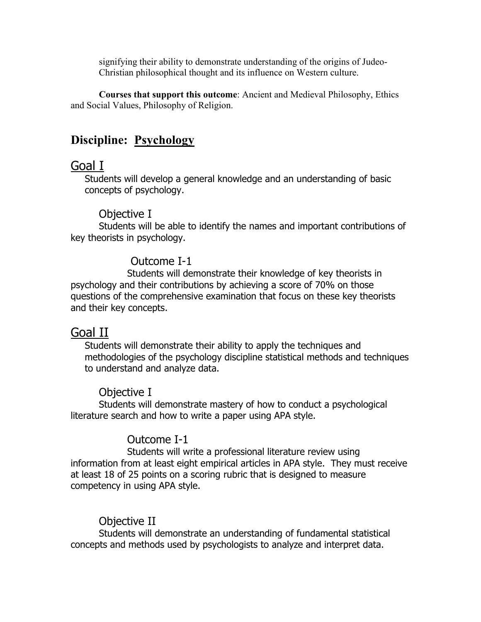signifying their ability to demonstrate understanding of the origins of Judeo-Christian philosophical thought and its influence on Western culture.

 Courses that support this outcome: Ancient and Medieval Philosophy, Ethics and Social Values, Philosophy of Religion.

# Discipline: Psychology

# Goal I

Students will develop a general knowledge and an understanding of basic concepts of psychology.

## Objective I

Students will be able to identify the names and important contributions of key theorists in psychology.

## Outcome I-1

 Students will demonstrate their knowledge of key theorists in psychology and their contributions by achieving a score of 70% on those questions of the comprehensive examination that focus on these key theorists and their key concepts.

# Goal II

Students will demonstrate their ability to apply the techniques and methodologies of the psychology discipline statistical methods and techniques to understand and analyze data.

## Objective I

Students will demonstrate mastery of how to conduct a psychological literature search and how to write a paper using APA style.

# Outcome I-1

 Students will write a professional literature review using information from at least eight empirical articles in APA style. They must receive at least 18 of 25 points on a scoring rubric that is designed to measure competency in using APA style.

## Objective II

Students will demonstrate an understanding of fundamental statistical concepts and methods used by psychologists to analyze and interpret data.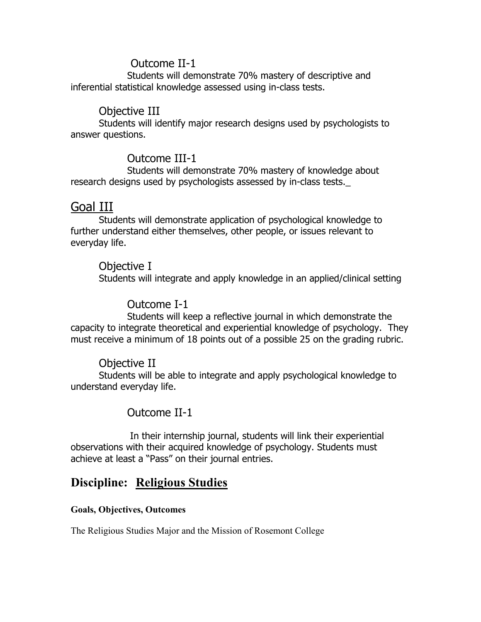## Outcome II-1

 Students will demonstrate 70% mastery of descriptive and inferential statistical knowledge assessed using in-class tests.

## Objective III

Students will identify major research designs used by psychologists to answer questions.

## Outcome III-1

 Students will demonstrate 70% mastery of knowledge about research designs used by psychologists assessed by in-class tests.

## Goal III

Students will demonstrate application of psychological knowledge to further understand either themselves, other people, or issues relevant to everyday life.

## Objective I

Students will integrate and apply knowledge in an applied/clinical setting

## Outcome I-1

 Students will keep a reflective journal in which demonstrate the capacity to integrate theoretical and experiential knowledge of psychology. They must receive a minimum of 18 points out of a possible 25 on the grading rubric.

## Objective II

Students will be able to integrate and apply psychological knowledge to understand everyday life.

## Outcome II-1

 In their internship journal, students will link their experiential observations with their acquired knowledge of psychology. Students must achieve at least a "Pass" on their journal entries.

# Discipline: Religious Studies

### Goals, Objectives, Outcomes

The Religious Studies Major and the Mission of Rosemont College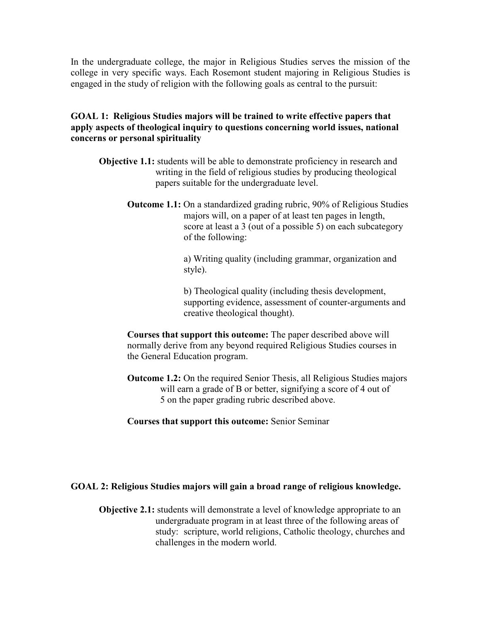In the undergraduate college, the major in Religious Studies serves the mission of the college in very specific ways. Each Rosemont student majoring in Religious Studies is engaged in the study of religion with the following goals as central to the pursuit:

### GOAL 1: Religious Studies majors will be trained to write effective papers that apply aspects of theological inquiry to questions concerning world issues, national concerns or personal spirituality

- Objective 1.1: students will be able to demonstrate proficiency in research and writing in the field of religious studies by producing theological papers suitable for the undergraduate level.
	- Outcome 1.1: On a standardized grading rubric, 90% of Religious Studies majors will, on a paper of at least ten pages in length, score at least a 3 (out of a possible 5) on each subcategory of the following:

 a) Writing quality (including grammar, organization and style).

 b) Theological quality (including thesis development, supporting evidence, assessment of counter-arguments and creative theological thought).

 Courses that support this outcome: The paper described above will normally derive from any beyond required Religious Studies courses in the General Education program.

- Outcome 1.2: On the required Senior Thesis, all Religious Studies majors will earn a grade of B or better, signifying a score of 4 out of 5 on the paper grading rubric described above.
- Courses that support this outcome: Senior Seminar

### GOAL 2: Religious Studies majors will gain a broad range of religious knowledge.

Objective 2.1: students will demonstrate a level of knowledge appropriate to an undergraduate program in at least three of the following areas of study: scripture, world religions, Catholic theology, churches and challenges in the modern world.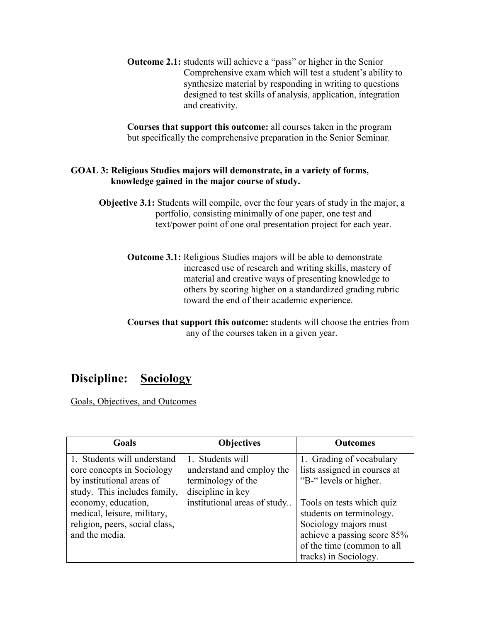Outcome 2.1: students will achieve a "pass" or higher in the Senior Comprehensive exam which will test a student's ability to synthesize material by responding in writing to questions designed to test skills of analysis, application, integration and creativity.

 Courses that support this outcome: all courses taken in the program but specifically the comprehensive preparation in the Senior Seminar.

### GOAL 3: Religious Studies majors will demonstrate, in a variety of forms, knowledge gained in the major course of study.

- Objective 3.1: Students will compile, over the four years of study in the major, a portfolio, consisting minimally of one paper, one test and text/power point of one oral presentation project for each year.
	- Outcome 3.1: Religious Studies majors will be able to demonstrate increased use of research and writing skills, mastery of material and creative ways of presenting knowledge to others by scoring higher on a standardized grading rubric toward the end of their academic experience.
	- Courses that support this outcome: students will choose the entries from any of the courses taken in a given year.

# Discipline: Sociology

Goals, Objectives, and Outcomes

| Goals                                                                                                                                  | <b>Objectives</b>                                                   | <b>Outcomes</b>                                                                                                                                                      |
|----------------------------------------------------------------------------------------------------------------------------------------|---------------------------------------------------------------------|----------------------------------------------------------------------------------------------------------------------------------------------------------------------|
| 1. Students will understand<br>core concepts in Sociology<br>by institutional areas of                                                 | 1. Students will<br>understand and employ the<br>terminology of the | 1. Grading of vocabulary<br>lists assigned in courses at<br>"B-" levels or higher.                                                                                   |
| study. This includes family,<br>economy, education,<br>medical, leisure, military,<br>religion, peers, social class,<br>and the media. | discipline in key<br>institutional areas of study                   | Tools on tests which quiz<br>students on terminology.<br>Sociology majors must<br>achieve a passing score 85%<br>of the time (common to all<br>tracks) in Sociology. |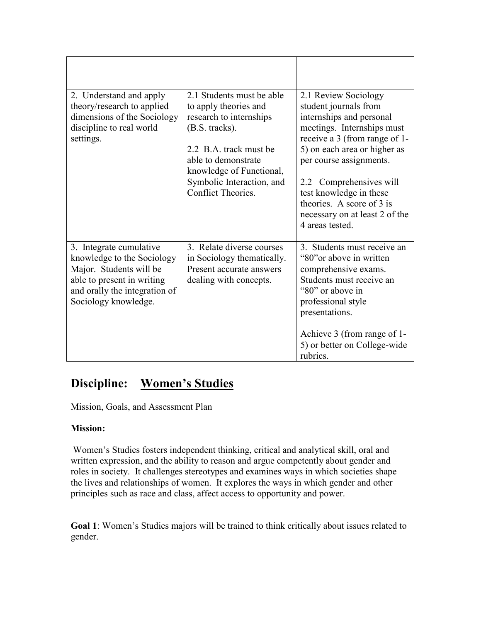| 2. Understand and apply<br>theory/research to applied<br>dimensions of the Sociology<br>discipline to real world<br>settings.                                           | 2.1 Students must be able<br>to apply theories and<br>research to internships<br>(B.S. tracks).<br>2.2 B.A. track must be<br>able to demonstrate<br>knowledge of Functional,<br>Symbolic Interaction, and<br>Conflict Theories. | 2.1 Review Sociology<br>student journals from<br>internships and personal<br>meetings. Internships must<br>receive a 3 (from range of 1-<br>5) on each area or higher as<br>per course assignments.<br>2.2 Comprehensives will<br>test knowledge in these<br>theories. A score of 3 is<br>necessary on at least 2 of the<br>4 areas tested. |
|-------------------------------------------------------------------------------------------------------------------------------------------------------------------------|---------------------------------------------------------------------------------------------------------------------------------------------------------------------------------------------------------------------------------|---------------------------------------------------------------------------------------------------------------------------------------------------------------------------------------------------------------------------------------------------------------------------------------------------------------------------------------------|
| 3. Integrate cumulative<br>knowledge to the Sociology<br>Major. Students will be<br>able to present in writing<br>and orally the integration of<br>Sociology knowledge. | 3. Relate diverse courses<br>in Sociology thematically.<br>Present accurate answers<br>dealing with concepts.                                                                                                                   | 3. Students must receive an<br>"80" or above in written<br>comprehensive exams.<br>Students must receive an<br>"80" or above in<br>professional style<br>presentations.<br>Achieve 3 (from range of 1-<br>5) or better on College-wide<br>rubrics.                                                                                          |

# Discipline: Women's Studies

Mission, Goals, and Assessment Plan

### Mission:

Women's Studies fosters independent thinking, critical and analytical skill, oral and written expression, and the ability to reason and argue competently about gender and roles in society. It challenges stereotypes and examines ways in which societies shape the lives and relationships of women. It explores the ways in which gender and other principles such as race and class, affect access to opportunity and power.

Goal 1: Women's Studies majors will be trained to think critically about issues related to gender.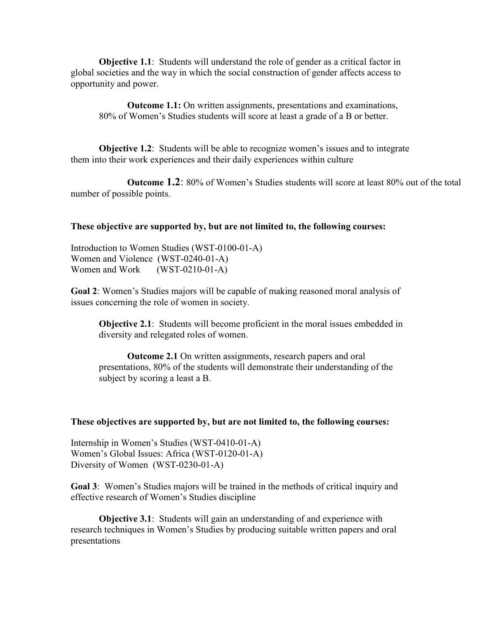Objective 1.1: Students will understand the role of gender as a critical factor in global societies and the way in which the social construction of gender affects access to opportunity and power.

Outcome 1.1: On written assignments, presentations and examinations, 80% of Women's Studies students will score at least a grade of a B or better.

Objective 1.2: Students will be able to recognize women's issues and to integrate them into their work experiences and their daily experiences within culture

Outcome 1.2: 80% of Women's Studies students will score at least 80% out of the total number of possible points.

#### These objective are supported by, but are not limited to, the following courses:

Introduction to Women Studies (WST-0100-01-A) Women and Violence (WST-0240-01-A) Women and Work (WST-0210-01-A)

Goal 2: Women's Studies majors will be capable of making reasoned moral analysis of issues concerning the role of women in society.

Objective 2.1: Students will become proficient in the moral issues embedded in diversity and relegated roles of women.

Outcome 2.1 On written assignments, research papers and oral presentations, 80% of the students will demonstrate their understanding of the subject by scoring a least a B.

#### These objectives are supported by, but are not limited to, the following courses:

Internship in Women's Studies (WST-0410-01-A) Women's Global Issues: Africa (WST-0120-01-A) Diversity of Women (WST-0230-01-A)

Goal 3: Women's Studies majors will be trained in the methods of critical inquiry and effective research of Women's Studies discipline

**Objective 3.1:** Students will gain an understanding of and experience with research techniques in Women's Studies by producing suitable written papers and oral presentations